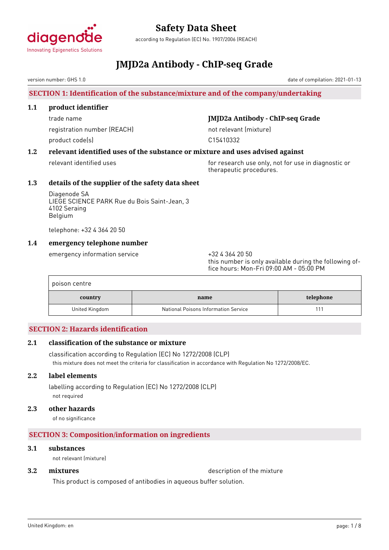

according to Regulation (EC) No. 1907/2006 (REACH)

# **JMJD2a Antibody - ChIP-seq Grade**

version number: GHS 1.0

# **SECTION 1: Identification of the substance/mixture and of the company/undertaking**

### **1.1 product identifier**

registration number (REACH) not relevant (mixture) product code(s) and control control of the control control control control control control control control control control control control control control control control control control control control control control con

# trade name **JMJD2a Antibody - ChIP-seq Grade**

# **1.2 relevant identified uses of the substance or mixture and uses advised against**

relevant identified uses for research use only, not for use in diagnostic or therapeutic procedures.

# **1.3 details of the supplier of the safety data sheet**

Diagenode SA LIEGE SCIENCE PARK Rue du Bois Saint-Jean, 3 4102 Seraing Belgium

telephone: +32 4 364 20 50

# **1.4 emergency telephone number**

emergency information service  $+3243642050$ 

this number is only available during the following office hours: Mon-Fri 09:00 AM - 05:00 PM

| poison centre  |                                      |           |
|----------------|--------------------------------------|-----------|
| country        | name                                 | telephone |
| United Kingdom | National Poisons Information Service |           |

# **SECTION 2: Hazards identification**

# **2.1 classification of the substance or mixture**

classification according to Regulation (EC) No 1272/2008 (CLP) this mixture does not meet the criteria for classification in accordance with Regulation No 1272/2008/EC.

# **2.2 label elements**

labelling according to Regulation (EC) No 1272/2008 (CLP) not required

# **2.3 other hazards**

of no significance

# **SECTION 3: Composition/information on ingredients**

### **3.1 substances**

not relevant (mixture)

**3.2 <b>mixtures** description of the mixture

This product is composed of antibodies in aqueous buffer solution.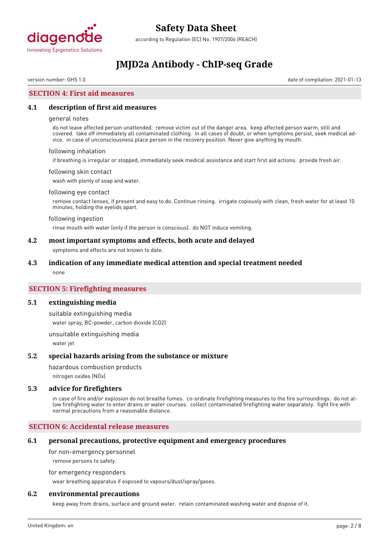

according to Regulation (EC) No. 1907/2006 (REACH)

# **JMJD2a Antibody - ChIP-seq Grade**

version number: GHS 1.0 date of compilation: 2021-01-13

# **SECTION 4: First aid measures**

### **4.1 description of first aid measures**

#### general notes

do not leave affected person unattended. remove victim out of the danger area. keep affected person warm, still and covered. take off immediately all contaminated clothing. in all cases of doubt, or when symptoms persist, seek medical advice. in case of unconsciousness place person in the recovery position. Never give anything by mouth.

#### following inhalation

if breathing is irregular or stopped, immediately seek medical assistance and start first aid actions. provide fresh air.

#### following skin contact

wash with plenty of soap and water.

#### following eye contact

remove contact lenses, if present and easy to do. Continue rinsing. irrigate copiously with clean, fresh water for at least 10 minutes, holding the eyelids apart.

#### following ingestion

rinse mouth with water (only if the person is conscious). do NOT induce vomiting.

#### **4.2 most important symptoms and effects, both acute and delayed**

symptoms and effects are not known to date.

#### **4.3 indication of any immediate medical attention and special treatment needed**

none

# **SECTION 5: Firefighting measures**

#### **5.1 extinguishing media**

suitable extinguishing media water spray, BC-powder, carbon dioxide (CO2)

unsuitable extinguishing media water jet

#### **5.2 special hazards arising from the substance or mixture**

hazardous combustion products

nitrogen oxides (NOx)

#### **5.3 advice for firefighters**

in case of fire and/or explosion do not breathe fumes. co-ordinate firefighting measures to the fire surroundings. do not allow firefighting water to enter drains or water courses. collect contaminated firefighting water separately. fight fire with normal precautions from a reasonable distance.

#### **SECTION 6: Accidental release measures**

#### **6.1 personal precautions, protective equipment and emergency procedures**

for non-emergency personnel

remove persons to safety.

for emergency responders

wear breathing apparatus if exposed to vapours/dust/spray/gases.

### **6.2 environmental precautions**

keep away from drains, surface and ground water. retain contaminated washing water and dispose of it.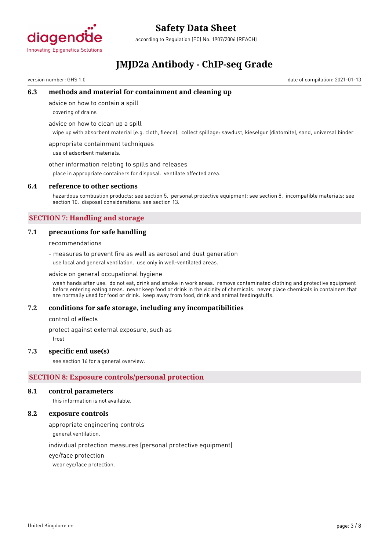

according to Regulation (EC) No. 1907/2006 (REACH)

# **JMJD2a Antibody - ChIP-seq Grade**

version number: GHS 1.0 date of compilation: 2021-01-13

### **6.3 methods and material for containment and cleaning up**

advice on how to contain a spill

covering of drains

advice on how to clean up a spill

wipe up with absorbent material (e.g. cloth, fleece). collect spillage: sawdust, kieselgur (diatomite), sand, universal binder

appropriate containment techniques use of adsorbent materials.

other information relating to spills and releases

place in appropriate containers for disposal. ventilate affected area.

#### **6.4 reference to other sections**

hazardous combustion products: see section 5. personal protective equipment: see section 8. incompatible materials: see section 10. disposal considerations: see section 13.

# **SECTION 7: Handling and storage**

### **7.1 precautions for safe handling**

recommendations

- measures to prevent fire as well as aerosol and dust generation use local and general ventilation. use only in well-ventilated areas.

advice on general occupational hygiene

wash hands after use. do not eat, drink and smoke in work areas. remove contaminated clothing and protective equipment before entering eating areas. never keep food or drink in the vicinity of chemicals. never place chemicals in containers that are normally used for food or drink. keep away from food, drink and animal feedingstuffs.

#### **7.2 conditions for safe storage, including any incompatibilities**

control of effects

protect against external exposure, such as

frost

#### **7.3 specific end use(s)**

see section 16 for a general overview.

# **SECTION 8: Exposure controls/personal protection**

#### **8.1 control parameters**

this information is not available.

### **8.2 exposure controls**

appropriate engineering controls

general ventilation.

individual protection measures (personal protective equipment)

eye/face protection

wear eye/face protection.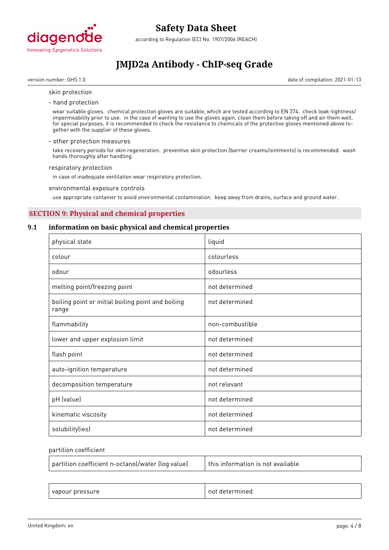

according to Regulation (EC) No. 1907/2006 (REACH)

# **JMJD2a Antibody - ChIP-seq Grade**

version number: GHS 1.0 date of compilation: 2021-01-13

#### skin protection

- hand protection

wear suitable gloves. chemical protection gloves are suitable, which are tested according to EN 374. check leak-tightness/ impermeability prior to use. in the case of wanting to use the gloves again, clean them before taking off and air them well. for special purposes, it is recommended to check the resistance to chemicals of the protective gloves mentioned above together with the supplier of these gloves.

#### - other protection measures

take recovery periods for skin regeneration. preventive skin protection (barrier creams/ointments) is recommended. wash hands thoroughly after handling.

#### respiratory protection

in case of inadequate ventilation wear respiratory protection.

#### environmental exposure controls

use appropriate container to avoid environmental contamination. keep away from drains, surface and ground water.

# **SECTION 9: Physical and chemical properties**

#### **9.1 information on basic physical and chemical properties**

| physical state                                              | liquid          |
|-------------------------------------------------------------|-----------------|
| colour                                                      | colourless      |
| odour                                                       | odourless       |
| melting point/freezing point                                | not determined  |
| boiling point or initial boiling point and boiling<br>range | not determined  |
| flammability                                                | non-combustible |
| lower and upper explosion limit                             | not determined  |
| flash point                                                 | not determined  |
| auto-ignition temperature                                   | not determined  |
| decomposition temperature                                   | not relevant    |
| pH (value)                                                  | not determined  |
| kinematic viscosity                                         | not determined  |
| solubility(ies)                                             | not determined  |

#### partition coefficient

| partition coefficient n-octanol/water (log value) | this information is not available |
|---------------------------------------------------|-----------------------------------|
|                                                   |                                   |

| $\sim$<br>$\sim$ nroce<br>$\overline{ }$<br>/apour<br>л.<br>. .<br>___ | nn<br>⊶וי<br>116C<br>.<br>. |
|------------------------------------------------------------------------|-----------------------------|
|------------------------------------------------------------------------|-----------------------------|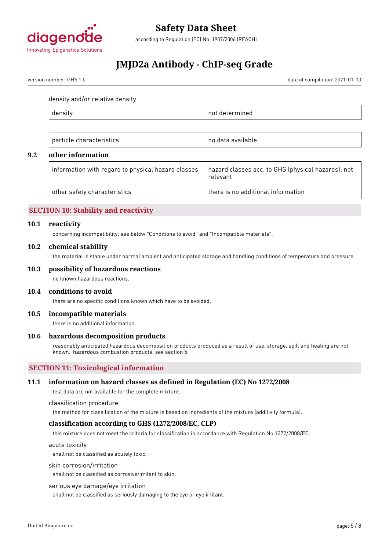

according to Regulation (EC) No. 1907/2006 (REACH)

# **JMJD2a Antibody - ChIP-seq Grade**

version number: GHS 1.0 date of compilation: 2021-01-13

density and/or relative density

| ---- | . ⊫. . |
|------|--------|
|      |        |

| $\sim$ $\sim$ $\sim$<br>рa<br>. .<br>нсте<br>. נ<br>$\overline{\phantom{a}}$<br>. | n<br>ranie<br>- 11- |
|-----------------------------------------------------------------------------------|---------------------|
|-----------------------------------------------------------------------------------|---------------------|

# **9.2 other information**

| $\perp$ information with regard to physical hazard classes | hazard classes acc. to GHS (physical hazards): not<br>relevant |
|------------------------------------------------------------|----------------------------------------------------------------|
| other safety characteristics                               | there is no additional information                             |

# **SECTION 10: Stability and reactivity**

#### **10.1 reactivity**

concerning incompatibility: see below "Conditions to avoid" and "Incompatible materials".

#### **10.2 chemical stability**

the material is stable under normal ambient and anticipated storage and handling conditions of temperature and pressure.

#### **10.3 possibility of hazardous reactions**

no known hazardous reactions.

#### **10.4 conditions to avoid**

there are no specific conditions known which have to be avoided.

#### **10.5 incompatible materials**

there is no additional information.

#### **10.6 hazardous decomposition products**

reasonably anticipated hazardous decomposition products produced as a result of use, storage, spill and heating are not known. hazardous combustion products: see section 5.

# **SECTION 11: Toxicological information**

# **11.1 information on hazard classes as defined in Regulation (EC) No 1272/2008**

test data are not available for the complete mixture.

classification procedure

the method for classification of the mixture is based on ingredients of the mixture (additivity formula).

#### **classification according to GHS (1272/2008/EC, CLP)**

this mixture does not meet the criteria for classification in accordance with Regulation No 1272/2008/EC.

acute toxicity

shall not be classified as acutely toxic.

#### skin corrosion/irritation

shall not be classified as corrosive/irritant to skin.

#### serious eye damage/eye irritation

shall not be classified as seriously damaging to the eye or eye irritant.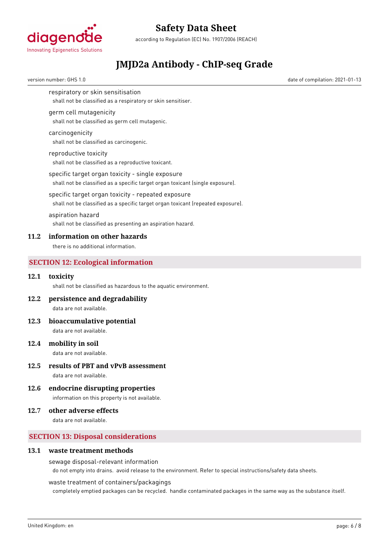

according to Regulation (EC) No. 1907/2006 (REACH)

# **JMJD2a Antibody - ChIP-seq Grade**

version number: GHS 1.0 date of compilation: 2021-01-13

respiratory or skin sensitisation

shall not be classified as a respiratory or skin sensitiser.

#### germ cell mutagenicity

shall not be classified as germ cell mutagenic.

#### carcinogenicity

shall not be classified as carcinogenic.

#### reproductive toxicity

shall not be classified as a reproductive toxicant.

#### specific target organ toxicity - single exposure

shall not be classified as a specific target organ toxicant (single exposure).

### specific target organ toxicity - repeated exposure

shall not be classified as a specific target organ toxicant (repeated exposure).

#### aspiration hazard

shall not be classified as presenting an aspiration hazard.

#### **11.2 information on other hazards**

there is no additional information.

# **SECTION 12: Ecological information**

### **12.1 toxicity**

shall not be classified as hazardous to the aquatic environment.

#### **12.2 persistence and degradability**

data are not available.

#### **12.3 bioaccumulative potential**

data are not available.

# **12.4 mobility in soil**

data are not available.

# **12.5 results of PBT and vPvB assessment**

data are not available.

# **12.6 endocrine disrupting properties**

information on this property is not available.

# **12.7 other adverse effects**

data are not available.

# **SECTION 13: Disposal considerations**

#### **13.1 waste treatment methods**

#### sewage disposal-relevant information

do not empty into drains. avoid release to the environment. Refer to special instructions/safety data sheets.

#### waste treatment of containers/packagings

completely emptied packages can be recycled. handle contaminated packages in the same way as the substance itself.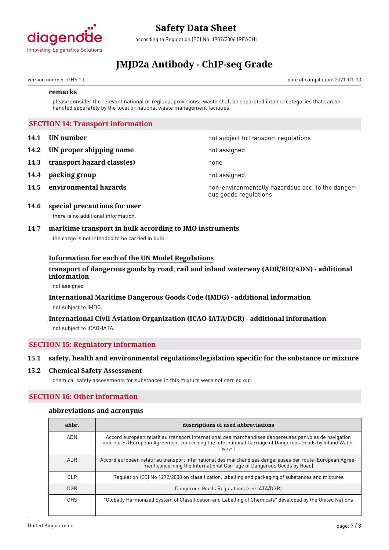

according to Regulation (EC) No. 1907/2006 (REACH)

# **JMJD2a Antibody - ChIP-seq Grade**

version number: GHS 1.0 date of compilation: 2021-01-13

#### **remarks**

please consider the relevant national or regional provisions. waste shall be separated into the categories that can be handled separately by the local or national waste management facilities.

### **SECTION 14: Transport information**

- **14.1 UN number 14.1 UN** number
- **14.2 IN proper shipping name** not assigned
- **14.3 transport hazard class(es)** none
- **14.4 packing group** not assigned
- 

**14.5 environmental hazards non-environmentally hazardous acc. to the danger**ous goods regulations

### **14.6 special precautions for user** there is no additional information.

# **14.7 maritime transport in bulk according to IMO instruments**

the cargo is not intended to be carried in bulk.

### **Information for each of the UN Model Regulations**

# **transport of dangerous goods by road, rail and inland waterway (ADR/RID/ADN) - additional information**

not assigned

# **International Maritime Dangerous Goods Code (IMDG) - additional information** not subject to IMDG.

# **International Civil Aviation Organization (ICAO-IATA/DGR) - additional information** not subject to ICAO-IATA.

# **SECTION 15: Regulatory information**

# **15.1 safety, health and environmental regulations/legislation specific for the substance or mixture**

#### **15.2 Chemical Safety Assessment**

chemical safety assessments for substances in this mixture were not carried out.

# **SECTION 16: Other information**

#### **abbreviations and acronyms**

| abbr.      | descriptions of used abbreviations                                                                                                                                                                                            |
|------------|-------------------------------------------------------------------------------------------------------------------------------------------------------------------------------------------------------------------------------|
| <b>ADN</b> | Accord européen relatif au transport international des marchandises dangereuses par voies de navigation<br>intérieures (European Agreement concerning the International Carriage of Dangerous Goods by Inland Water-<br>ways) |
| <b>ADR</b> | Accord européen relatif au transport international des marchandises dangereuses par route (European Agree-<br>ment concerning the International Carriage of Dangerous Goods by Road)                                          |
| CLP        | Regulation (EC) No 1272/2008 on classification, labelling and packaging of substances and mixtures                                                                                                                            |
| <b>DGR</b> | Dangerous Goods Regulations (see IATA/DGR)                                                                                                                                                                                    |
| <b>GHS</b> | "Globally Harmonized System of Classification and Labelling of Chemicals" developed by the United Nations                                                                                                                     |